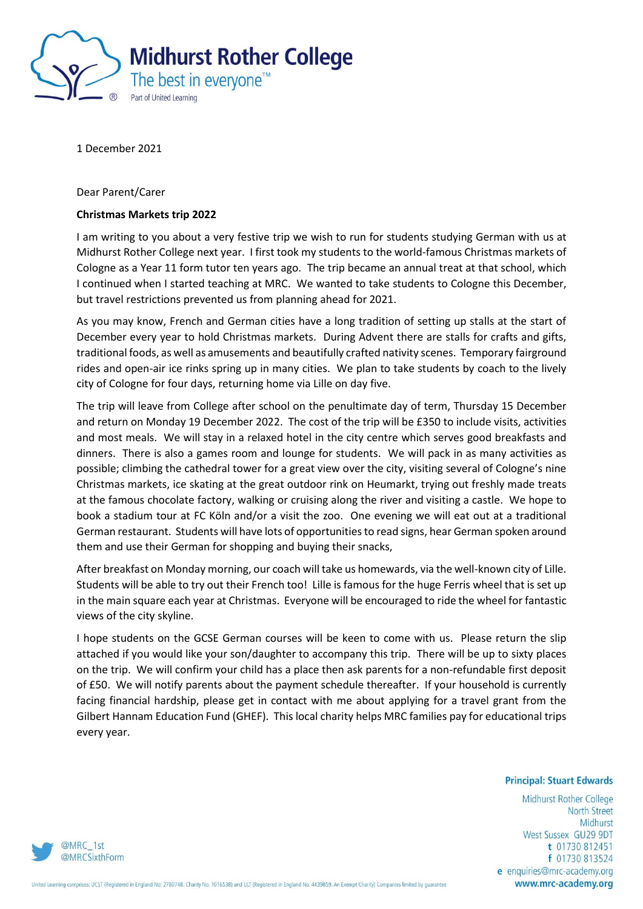

1 December 2021

Dear Parent/Carer

## **Christmas Markets trip 2022**

I am writing to you about a very festive trip we wish to run for students studying German with us at Midhurst Rother College next year. I first took my students to the world-famous Christmas markets of Cologne as a Year 11 form tutor ten years ago. The trip became an annual treat at that school, which I continued when I started teaching at MRC. We wanted to take students to Cologne this December, but travel restrictions prevented us from planning ahead for 2021.

As you may know, French and German cities have a long tradition of setting up stalls at the start of December every year to hold Christmas markets. During Advent there are stalls for crafts and gifts, traditional foods, as well as amusements and beautifully crafted nativity scenes. Temporary fairground rides and open-air ice rinks spring up in many cities. We plan to take students by coach to the lively city of Cologne for four days, returning home via Lille on day five.

The trip will leave from College after school on the penultimate day of term, Thursday 15 December and return on Monday 19 December 2022. The cost of the trip will be £350 to include visits, activities and most meals. We will stay in a relaxed hotel in the city centre which serves good breakfasts and dinners. There is also a games room and lounge for students. We will pack in as many activities as possible; climbing the cathedral tower for a great view over the city, visiting several of Cologne's nine Christmas markets, ice skating at the great outdoor rink on Heumarkt, trying out freshly made treats at the famous chocolate factory, walking or cruising along the river and visiting a castle. We hope to book a stadium tour at FC Köln and/or a visit the zoo. One evening we will eat out at a traditional German restaurant. Students will have lots of opportunities to read signs, hear German spoken around them and use their German for shopping and buying their snacks,

After breakfast on Monday morning, our coach will take us homewards, via the well-known city of Lille. Students will be able to try out their French too! Lille is famous for the huge Ferris wheel that is set up in the main square each year at Christmas. Everyone will be encouraged to ride the wheel for fantastic views of the city skyline.

I hope students on the GCSE German courses will be keen to come with us. Please return the slip attached if you would like your son/daughter to accompany this trip. There will be up to sixty places on the trip. We will confirm your child has a place then ask parents for a non-refundable first deposit of £50. We will notify parents about the payment schedule thereafter. If your household is currently facing financial hardship, please get in contact with me about applying for a travel grant from the Gilbert Hannam Education Fund (GHEF). This local charity helps MRC families pay for educational trips every year.

## **Principal: Stuart Edwards**

Midhurst Rother College **North Street** Midhurst West Sussex GU29 9DT t 01730 812451 f 01730 813524 e enquiries@mrc-academy.org www.mrc-academy.org